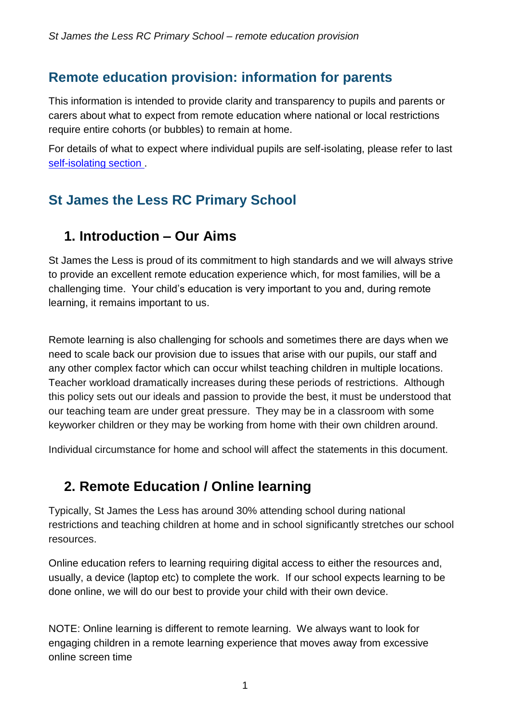## **Remote education provision: information for parents**

This information is intended to provide clarity and transparency to pupils and parents or carers about what to expect from remote education where national or local restrictions require entire cohorts (or bubbles) to remain at home.

For details of what to expect where individual pupils are self-isolating, please refer to last [self-isolating section](#page-6-0) .

# **St James the Less RC Primary School**

## **1. Introduction – Our Aims**

St James the Less is proud of its commitment to high standards and we will always strive to provide an excellent remote education experience which, for most families, will be a challenging time. Your child's education is very important to you and, during remote learning, it remains important to us.

Remote learning is also challenging for schools and sometimes there are days when we need to scale back our provision due to issues that arise with our pupils, our staff and any other complex factor which can occur whilst teaching children in multiple locations. Teacher workload dramatically increases during these periods of restrictions. Although this policy sets out our ideals and passion to provide the best, it must be understood that our teaching team are under great pressure. They may be in a classroom with some keyworker children or they may be working from home with their own children around.

Individual circumstance for home and school will affect the statements in this document.

# **2. Remote Education / Online learning**

Typically, St James the Less has around 30% attending school during national restrictions and teaching children at home and in school significantly stretches our school resources.

Online education refers to learning requiring digital access to either the resources and, usually, a device (laptop etc) to complete the work. If our school expects learning to be done online, we will do our best to provide your child with their own device.

NOTE: Online learning is different to remote learning. We always want to look for engaging children in a remote learning experience that moves away from excessive online screen time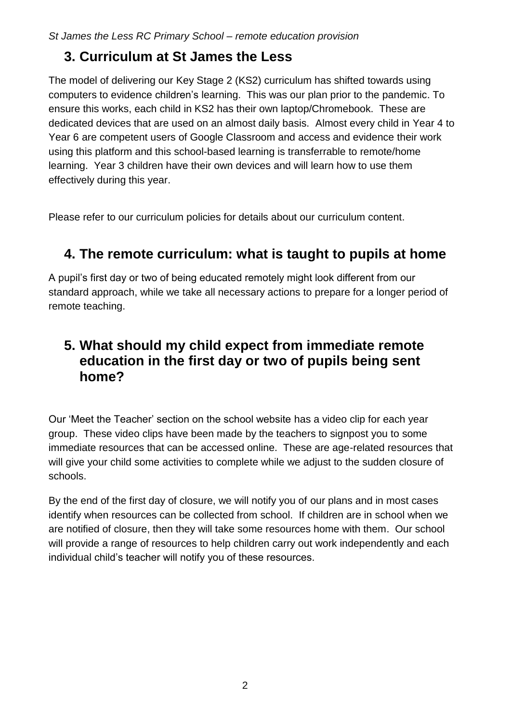## **3. Curriculum at St James the Less**

The model of delivering our Key Stage 2 (KS2) curriculum has shifted towards using computers to evidence children's learning. This was our plan prior to the pandemic. To ensure this works, each child in KS2 has their own laptop/Chromebook. These are dedicated devices that are used on an almost daily basis. Almost every child in Year 4 to Year 6 are competent users of Google Classroom and access and evidence their work using this platform and this school-based learning is transferrable to remote/home learning. Year 3 children have their own devices and will learn how to use them effectively during this year.

Please refer to our curriculum policies for details about our curriculum content.

# **4. The remote curriculum: what is taught to pupils at home**

A pupil's first day or two of being educated remotely might look different from our standard approach, while we take all necessary actions to prepare for a longer period of remote teaching.

## **5. What should my child expect from immediate remote education in the first day or two of pupils being sent home?**

Our 'Meet the Teacher' section on the school website has a video clip for each year group. These video clips have been made by the teachers to signpost you to some immediate resources that can be accessed online. These are age-related resources that will give your child some activities to complete while we adjust to the sudden closure of schools.

By the end of the first day of closure, we will notify you of our plans and in most cases identify when resources can be collected from school. If children are in school when we are notified of closure, then they will take some resources home with them. Our school will provide a range of resources to help children carry out work independently and each individual child's teacher will notify you of these resources.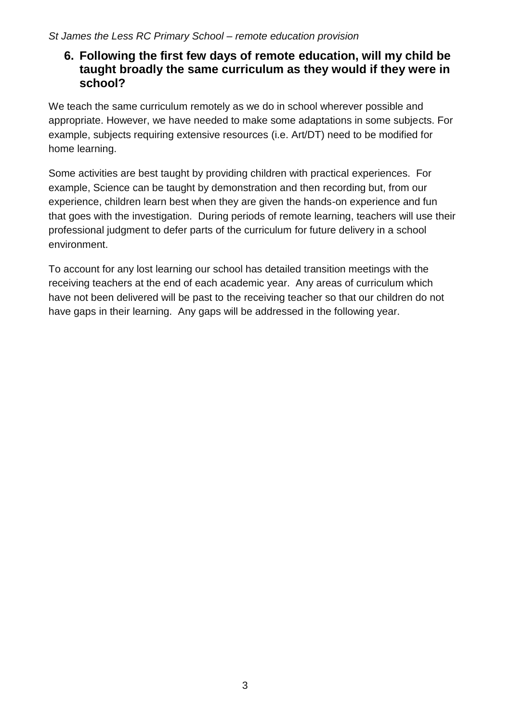#### **6. Following the first few days of remote education, will my child be taught broadly the same curriculum as they would if they were in school?**

We teach the same curriculum remotely as we do in school wherever possible and appropriate. However, we have needed to make some adaptations in some subjects. For example, subjects requiring extensive resources (i.e. Art/DT) need to be modified for home learning.

Some activities are best taught by providing children with practical experiences. For example, Science can be taught by demonstration and then recording but, from our experience, children learn best when they are given the hands-on experience and fun that goes with the investigation. During periods of remote learning, teachers will use their professional judgment to defer parts of the curriculum for future delivery in a school environment.

To account for any lost learning our school has detailed transition meetings with the receiving teachers at the end of each academic year. Any areas of curriculum which have not been delivered will be past to the receiving teacher so that our children do not have gaps in their learning. Any gaps will be addressed in the following year.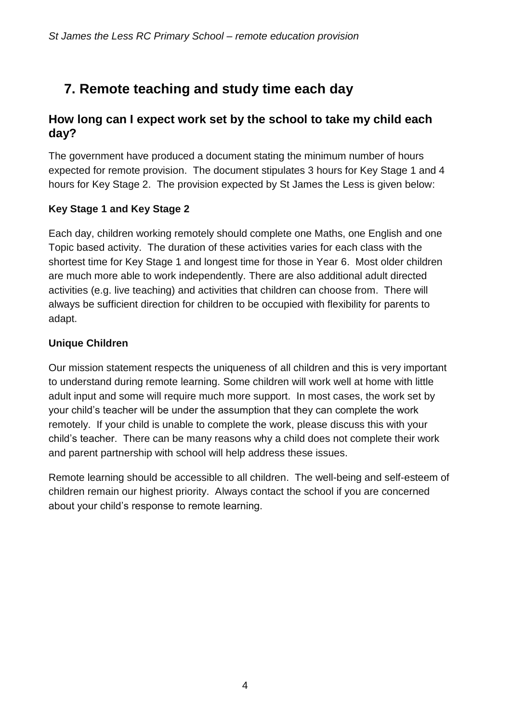# **7. Remote teaching and study time each day**

#### **How long can I expect work set by the school to take my child each day?**

The government have produced a document stating the minimum number of hours expected for remote provision. The document stipulates 3 hours for Key Stage 1 and 4 hours for Key Stage 2. The provision expected by St James the Less is given below:

#### **Key Stage 1 and Key Stage 2**

Each day, children working remotely should complete one Maths, one English and one Topic based activity. The duration of these activities varies for each class with the shortest time for Key Stage 1 and longest time for those in Year 6. Most older children are much more able to work independently. There are also additional adult directed activities (e.g. live teaching) and activities that children can choose from. There will always be sufficient direction for children to be occupied with flexibility for parents to adapt.

#### **Unique Children**

Our mission statement respects the uniqueness of all children and this is very important to understand during remote learning. Some children will work well at home with little adult input and some will require much more support. In most cases, the work set by your child's teacher will be under the assumption that they can complete the work remotely. If your child is unable to complete the work, please discuss this with your child's teacher. There can be many reasons why a child does not complete their work and parent partnership with school will help address these issues.

Remote learning should be accessible to all children. The well-being and self-esteem of children remain our highest priority. Always contact the school if you are concerned about your child's response to remote learning.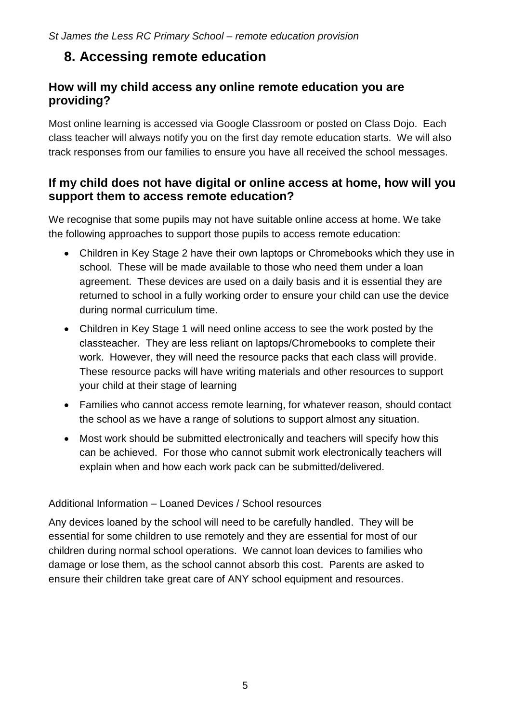## **8. Accessing remote education**

#### **How will my child access any online remote education you are providing?**

Most online learning is accessed via Google Classroom or posted on Class Dojo. Each class teacher will always notify you on the first day remote education starts. We will also track responses from our families to ensure you have all received the school messages.

#### **If my child does not have digital or online access at home, how will you support them to access remote education?**

We recognise that some pupils may not have suitable online access at home. We take the following approaches to support those pupils to access remote education:

- Children in Key Stage 2 have their own laptops or Chromebooks which they use in school. These will be made available to those who need them under a loan agreement. These devices are used on a daily basis and it is essential they are returned to school in a fully working order to ensure your child can use the device during normal curriculum time.
- Children in Key Stage 1 will need online access to see the work posted by the classteacher. They are less reliant on laptops/Chromebooks to complete their work. However, they will need the resource packs that each class will provide. These resource packs will have writing materials and other resources to support your child at their stage of learning
- Families who cannot access remote learning, for whatever reason, should contact the school as we have a range of solutions to support almost any situation.
- Most work should be submitted electronically and teachers will specify how this can be achieved. For those who cannot submit work electronically teachers will explain when and how each work pack can be submitted/delivered.

#### Additional Information – Loaned Devices / School resources

Any devices loaned by the school will need to be carefully handled. They will be essential for some children to use remotely and they are essential for most of our children during normal school operations. We cannot loan devices to families who damage or lose them, as the school cannot absorb this cost. Parents are asked to ensure their children take great care of ANY school equipment and resources.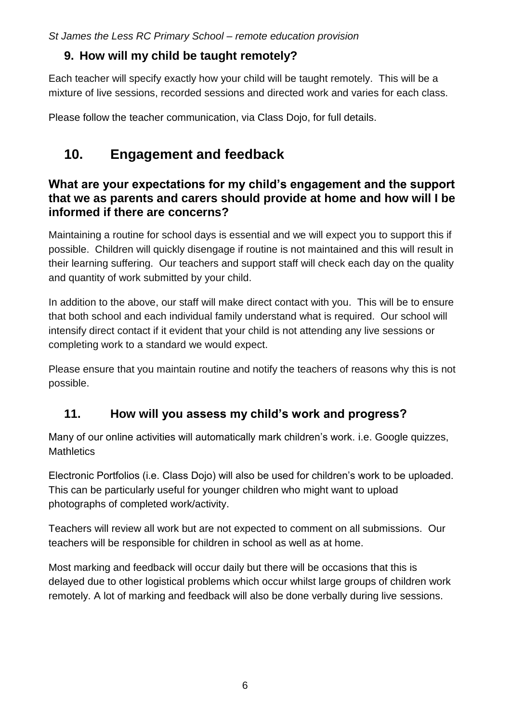*St James the Less RC Primary School – remote education provision*

### **9. How will my child be taught remotely?**

Each teacher will specify exactly how your child will be taught remotely. This will be a mixture of live sessions, recorded sessions and directed work and varies for each class.

Please follow the teacher communication, via Class Dojo, for full details.

# **10. Engagement and feedback**

#### **What are your expectations for my child's engagement and the support that we as parents and carers should provide at home and how will I be informed if there are concerns?**

Maintaining a routine for school days is essential and we will expect you to support this if possible. Children will quickly disengage if routine is not maintained and this will result in their learning suffering. Our teachers and support staff will check each day on the quality and quantity of work submitted by your child.

In addition to the above, our staff will make direct contact with you. This will be to ensure that both school and each individual family understand what is required. Our school will intensify direct contact if it evident that your child is not attending any live sessions or completing work to a standard we would expect.

Please ensure that you maintain routine and notify the teachers of reasons why this is not possible.

## **11. How will you assess my child's work and progress?**

Many of our online activities will automatically mark children's work, i.e. Google quizzes, **Mathletics** 

Electronic Portfolios (i.e. Class Dojo) will also be used for children's work to be uploaded. This can be particularly useful for younger children who might want to upload photographs of completed work/activity.

Teachers will review all work but are not expected to comment on all submissions. Our teachers will be responsible for children in school as well as at home.

Most marking and feedback will occur daily but there will be occasions that this is delayed due to other logistical problems which occur whilst large groups of children work remotely. A lot of marking and feedback will also be done verbally during live sessions.